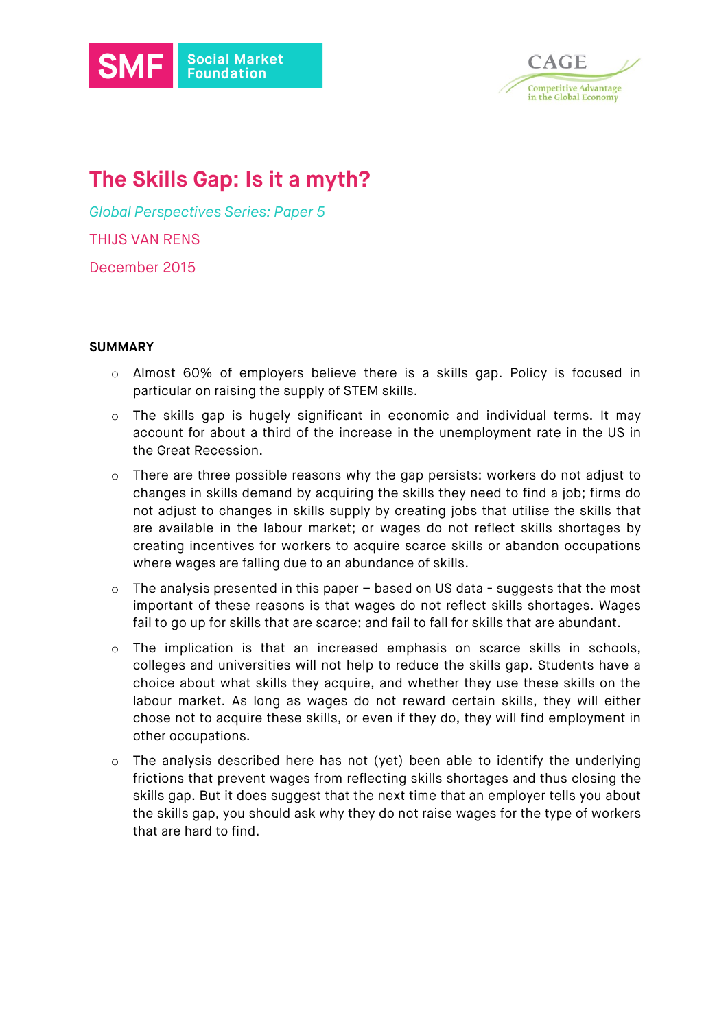



# **The Skills Gap: Is it a myth?**

*Global Perspectives Series: Paper 5* THIJS VAN RENS December 2015

#### **SUMMARY**

- o Almost 60% of employers believe there is a skills gap. Policy is focused in particular on raising the supply of STEM skills.
- o The skills gap is hugely significant in economic and individual terms. It may account for about a third of the increase in the unemployment rate in the US in the Great Recession.
- $\circ$  There are three possible reasons why the gap persists: workers do not adjust to changes in skills demand by acquiring the skills they need to find a job; firms do not adjust to changes in skills supply by creating jobs that utilise the skills that are available in the labour market; or wages do not reflect skills shortages by creating incentives for workers to acquire scarce skills or abandon occupations where wages are falling due to an abundance of skills.
- o The analysis presented in this paper based on US data suggests that the most important of these reasons is that wages do not reflect skills shortages. Wages fail to go up for skills that are scarce; and fail to fall for skills that are abundant.
- o The implication is that an increased emphasis on scarce skills in schools, colleges and universities will not help to reduce the skills gap. Students have a choice about what skills they acquire, and whether they use these skills on the labour market. As long as wages do not reward certain skills, they will either chose not to acquire these skills, or even if they do, they will find employment in other occupations.
- o The analysis described here has not (yet) been able to identify the underlying frictions that prevent wages from reflecting skills shortages and thus closing the skills gap. But it does suggest that the next time that an employer tells you about the skills gap, you should ask why they do not raise wages for the type of workers that are hard to find.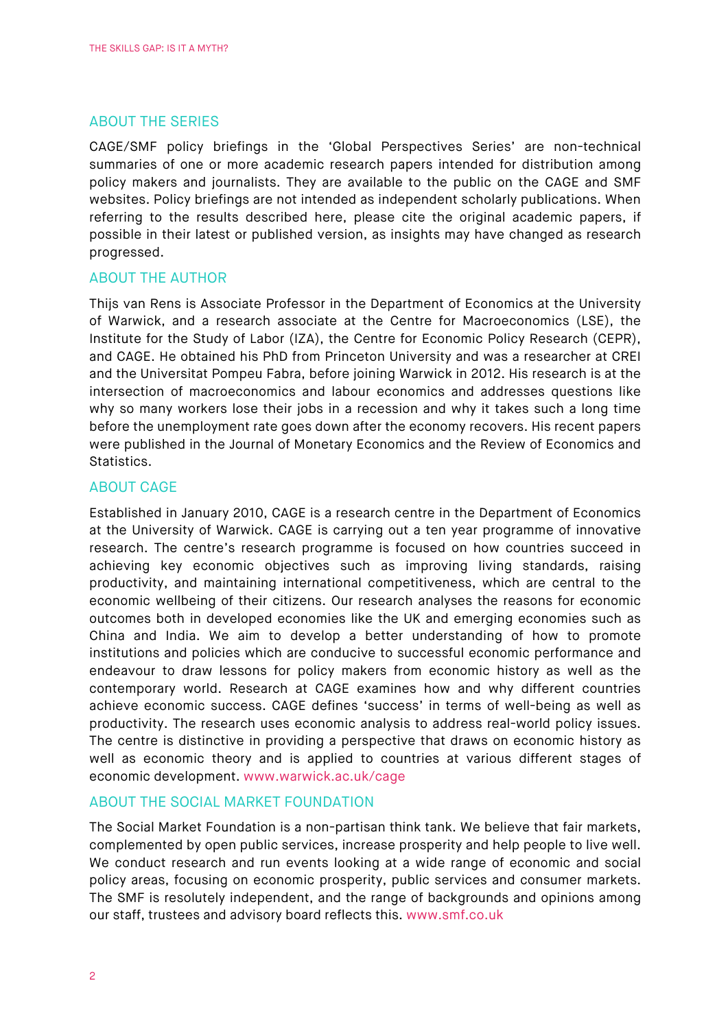## ABOUT THE SERIES

CAGE/SMF policy briefings in the 'Global Perspectives Series' are non-technical summaries of one or more academic research papers intended for distribution among policy makers and journalists. They are available to the public on the CAGE and SMF websites. Policy briefings are not intended as independent scholarly publications. When referring to the results described here, please cite the original academic papers, if possible in their latest or published version, as insights may have changed as research progressed.

#### ABOUT THE AUTHOR

Thijs van Rens is Associate Professor in the Department of Economics at the University of Warwick, and a research associate at the Centre for Macroeconomics (LSE), the Institute for the Study of Labor (IZA), the Centre for Economic Policy Research (CEPR), and CAGE. He obtained his PhD from Princeton University and was a researcher at CREI and the Universitat Pompeu Fabra, before joining Warwick in 2012. His research is at the intersection of macroeconomics and labour economics and addresses questions like why so many workers lose their jobs in a recession and why it takes such a long time before the unemployment rate goes down after the economy recovers. His recent papers were published in the Journal of Monetary Economics and the Review of Economics and Statistics.

#### ABOUT CAGE

Established in January 2010, CAGE is a research centre in the Department of Economics at the University of Warwick. CAGE is carrying out a ten year programme of innovative research. The centre's research programme is focused on how countries succeed in achieving key economic objectives such as improving living standards, raising productivity, and maintaining international competitiveness, which are central to the economic wellbeing of their citizens. Our research analyses the reasons for economic outcomes both in developed economies like the UK and emerging economies such as China and India. We aim to develop a better understanding of how to promote institutions and policies which are conducive to successful economic performance and endeavour to draw lessons for policy makers from economic history as well as the contemporary world. Research at CAGE examines how and why different countries achieve economic success. CAGE defines 'success' in terms of well-being as well as productivity. The research uses economic analysis to address real-world policy issues. The centre is distinctive in providing a perspective that draws on economic history as well as economic theory and is applied to countries at various different stages of economic development. www.warwick.ac.uk/cage

#### ABOUT THE SOCIAL MARKET FOUNDATION

The Social Market Foundation is a non-partisan think tank. We believe that fair markets, complemented by open public services, increase prosperity and help people to live well. We conduct research and run events looking at a wide range of economic and social policy areas, focusing on economic prosperity, public services and consumer markets. The SMF is resolutely independent, and the range of backgrounds and opinions among our staff, trustees and advisory board reflects this. www.smf.co.uk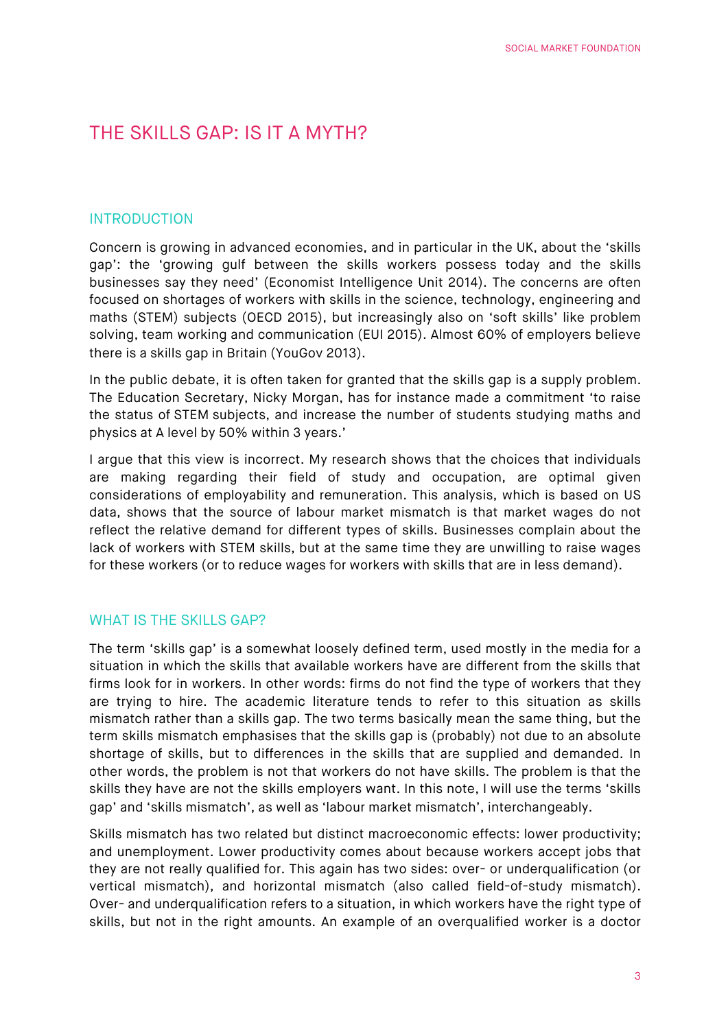## THE SKILLS GAP: IS IT A MYTH?

## INTRODUCTION

Concern is growing in advanced economies, and in particular in the UK, about the 'skills gap': the 'growing gulf between the skills workers possess today and the skills businesses say they need' (Economist Intelligence Unit 2014). The concerns are often focused on shortages of workers with skills in the science, technology, engineering and maths (STEM) subjects (OECD 2015), but increasingly also on 'soft skills' like problem solving, team working and communication (EUI 2015). Almost 60% of employers believe there is a skills gap in Britain (YouGov 2013).

In the public debate, it is often taken for granted that the skills gap is a supply problem. The Education Secretary, Nicky Morgan, has for instance made a commitment 'to raise the status of STEM subjects, and increase the number of students studying maths and physics at A level by 50% within 3 years.'

I argue that this view is incorrect. My research shows that the choices that individuals are making regarding their field of study and occupation, are optimal given considerations of employability and remuneration. This analysis, which is based on US data, shows that the source of labour market mismatch is that market wages do not reflect the relative demand for different types of skills. Businesses complain about the lack of workers with STEM skills, but at the same time they are unwilling to raise wages for these workers (or to reduce wages for workers with skills that are in less demand).

#### WHAT IS THE SKILLS GAP?

The term 'skills gap' is a somewhat loosely defined term, used mostly in the media for a situation in which the skills that available workers have are different from the skills that firms look for in workers. In other words: firms do not find the type of workers that they are trying to hire. The academic literature tends to refer to this situation as skills mismatch rather than a skills gap. The two terms basically mean the same thing, but the term skills mismatch emphasises that the skills gap is (probably) not due to an absolute shortage of skills, but to differences in the skills that are supplied and demanded. In other words, the problem is not that workers do not have skills. The problem is that the skills they have are not the skills employers want. In this note, I will use the terms 'skills gap' and 'skills mismatch', as well as 'labour market mismatch', interchangeably.

Skills mismatch has two related but distinct macroeconomic effects: lower productivity; and unemployment. Lower productivity comes about because workers accept jobs that they are not really qualified for. This again has two sides: over- or underqualification (or vertical mismatch), and horizontal mismatch (also called field-of-study mismatch). Over- and underqualification refers to a situation, in which workers have the right type of skills, but not in the right amounts. An example of an overqualified worker is a doctor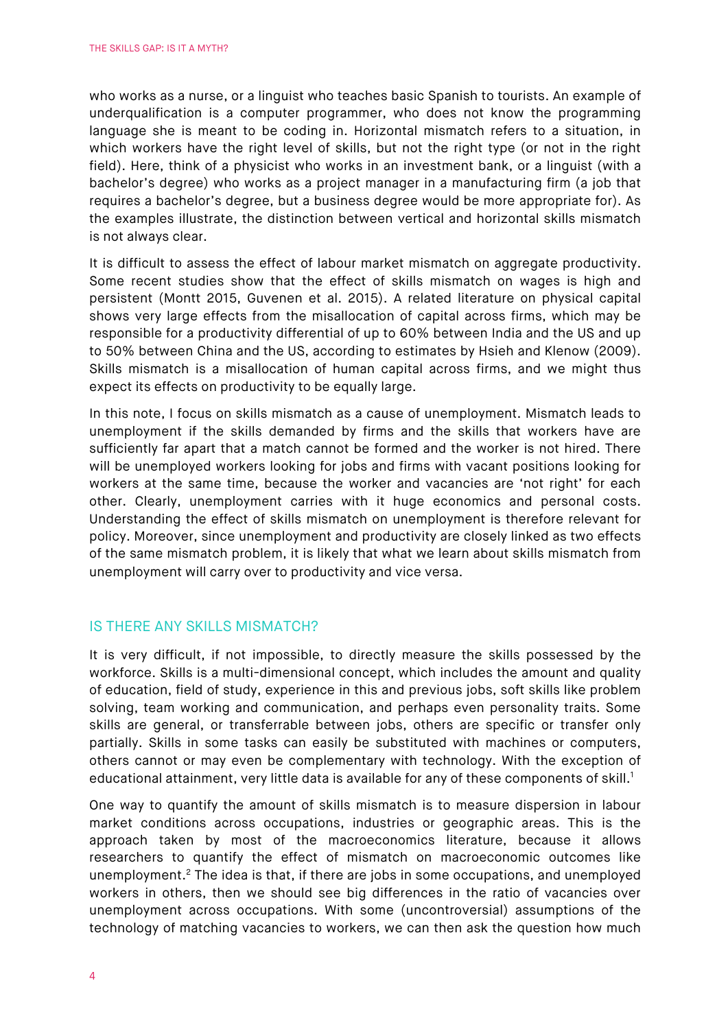who works as a nurse, or a linguist who teaches basic Spanish to tourists. An example of underqualification is a computer programmer, who does not know the programming language she is meant to be coding in. Horizontal mismatch refers to a situation, in which workers have the right level of skills, but not the right type (or not in the right field). Here, think of a physicist who works in an investment bank, or a linguist (with a bachelor's degree) who works as a project manager in a manufacturing firm (a job that requires a bachelor's degree, but a business degree would be more appropriate for). As the examples illustrate, the distinction between vertical and horizontal skills mismatch is not always clear.

It is difficult to assess the effect of labour market mismatch on aggregate productivity. Some recent studies show that the effect of skills mismatch on wages is high and persistent (Montt 2015, Guvenen et al. 2015). A related literature on physical capital shows very large effects from the misallocation of capital across firms, which may be responsible for a productivity differential of up to 60% between India and the US and up to 50% between China and the US, according to estimates by Hsieh and Klenow (2009). Skills mismatch is a misallocation of human capital across firms, and we might thus expect its effects on productivity to be equally large.

In this note, I focus on skills mismatch as a cause of unemployment. Mismatch leads to unemployment if the skills demanded by firms and the skills that workers have are sufficiently far apart that a match cannot be formed and the worker is not hired. There will be unemployed workers looking for jobs and firms with vacant positions looking for workers at the same time, because the worker and vacancies are 'not right' for each other. Clearly, unemployment carries with it huge economics and personal costs. Understanding the effect of skills mismatch on unemployment is therefore relevant for policy. Moreover, since unemployment and productivity are closely linked as two effects of the same mismatch problem, it is likely that what we learn about skills mismatch from unemployment will carry over to productivity and vice versa.

#### IS THERE ANY SKILLS MISMATCH?

It is very difficult, if not impossible, to directly measure the skills possessed by the workforce. Skills is a multi-dimensional concept, which includes the amount and quality of education, field of study, experience in this and previous jobs, soft skills like problem solving, team working and communication, and perhaps even personality traits. Some skills are general, or transferrable between jobs, others are specific or transfer only partially. Skills in some tasks can easily be substituted with machines or computers, others cannot or may even be complementary with technology. With the exception of educational attainment, very little data is available for any of these components of skill.<sup>1</sup>

One way to quantify the amount of skills mismatch is to measure dispersion in labour market conditions across occupations, industries or geographic areas. This is the approach taken by most of the macroeconomics literature, because it allows researchers to quantify the effect of mismatch on macroeconomic outcomes like unemployment.<sup>2</sup> The idea is that, if there are jobs in some occupations, and unemployed workers in others, then we should see big differences in the ratio of vacancies over unemployment across occupations. With some (uncontroversial) assumptions of the technology of matching vacancies to workers, we can then ask the question how much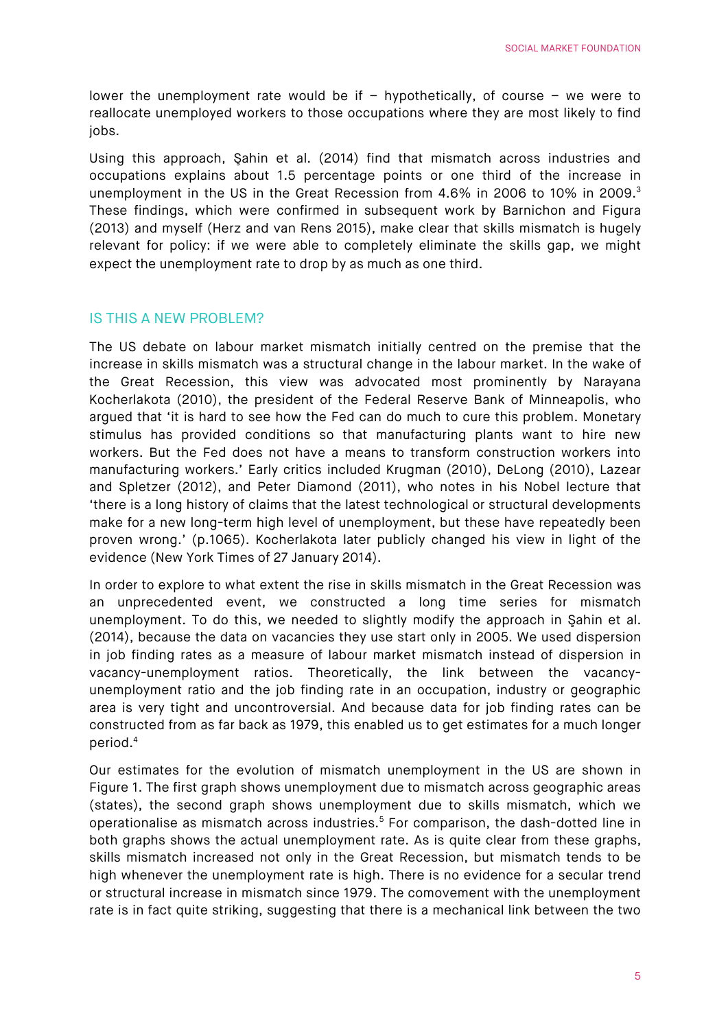lower the unemployment rate would be if  $-$  hypothetically, of course  $-$  we were to reallocate unemployed workers to those occupations where they are most likely to find jobs.

Using this approach, Şahin et al. (2014) find that mismatch across industries and occupations explains about 1.5 percentage points or one third of the increase in unemployment in the US in the Great Recession from 4.6% in 2006 to 10% in 2009.3 These findings, which were confirmed in subsequent work by Barnichon and Figura (2013) and myself (Herz and van Rens 2015), make clear that skills mismatch is hugely relevant for policy: if we were able to completely eliminate the skills gap, we might expect the unemployment rate to drop by as much as one third.

## IS THIS A NEW PROBLEM?

The US debate on labour market mismatch initially centred on the premise that the increase in skills mismatch was a structural change in the labour market. In the wake of the Great Recession, this view was advocated most prominently by Narayana Kocherlakota (2010), the president of the Federal Reserve Bank of Minneapolis, who argued that 'it is hard to see how the Fed can do much to cure this problem. Monetary stimulus has provided conditions so that manufacturing plants want to hire new workers. But the Fed does not have a means to transform construction workers into manufacturing workers.' Early critics included Krugman (2010), DeLong (2010), Lazear and Spletzer (2012), and Peter Diamond (2011), who notes in his Nobel lecture that 'there is a long history of claims that the latest technological or structural developments make for a new long-term high level of unemployment, but these have repeatedly been proven wrong.' (p.1065). Kocherlakota later publicly changed his view in light of the evidence (New York Times of 27 January 2014).

In order to explore to what extent the rise in skills mismatch in the Great Recession was an unprecedented event, we constructed a long time series for mismatch unemployment. To do this, we needed to slightly modify the approach in Şahin et al. (2014), because the data on vacancies they use start only in 2005. We used dispersion in job finding rates as a measure of labour market mismatch instead of dispersion in vacancy-unemployment ratios. Theoretically, the link between the vacancyunemployment ratio and the job finding rate in an occupation, industry or geographic area is very tight and uncontroversial. And because data for job finding rates can be constructed from as far back as 1979, this enabled us to get estimates for a much longer period.4

Our estimates for the evolution of mismatch unemployment in the US are shown in Figure 1. The first graph shows unemployment due to mismatch across geographic areas (states), the second graph shows unemployment due to skills mismatch, which we operationalise as mismatch across industries.<sup>5</sup> For comparison, the dash-dotted line in both graphs shows the actual unemployment rate. As is quite clear from these graphs, skills mismatch increased not only in the Great Recession, but mismatch tends to be high whenever the unemployment rate is high. There is no evidence for a secular trend or structural increase in mismatch since 1979. The comovement with the unemployment rate is in fact quite striking, suggesting that there is a mechanical link between the two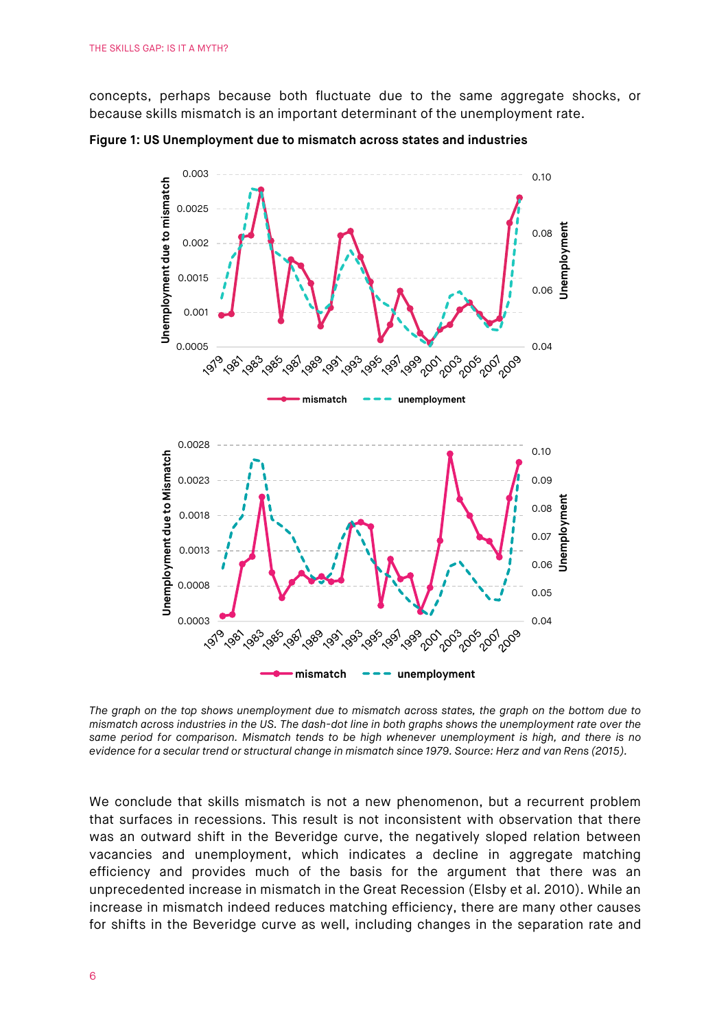concepts, perhaps because both fluctuate due to the same aggregate shocks, or because skills mismatch is an important determinant of the unemployment rate.



**Figure 1: US Unemployment due to mismatch across states and industries**

*The graph on the top shows unemployment due to mismatch across states, the graph on the bottom due to mismatch across industries in the US. The dash-dot line in both graphs shows the unemployment rate over the same period for comparison. Mismatch tends to be high whenever unemployment is high, and there is no evidence for a secular trend or structural change in mismatch since 1979. Source: Herz and van Rens (2015).*

We conclude that skills mismatch is not a new phenomenon, but a recurrent problem that surfaces in recessions. This result is not inconsistent with observation that there was an outward shift in the Beveridge curve, the negatively sloped relation between vacancies and unemployment, which indicates a decline in aggregate matching efficiency and provides much of the basis for the argument that there was an unprecedented increase in mismatch in the Great Recession (Elsby et al. 2010). While an increase in mismatch indeed reduces matching efficiency, there are many other causes for shifts in the Beveridge curve as well, including changes in the separation rate and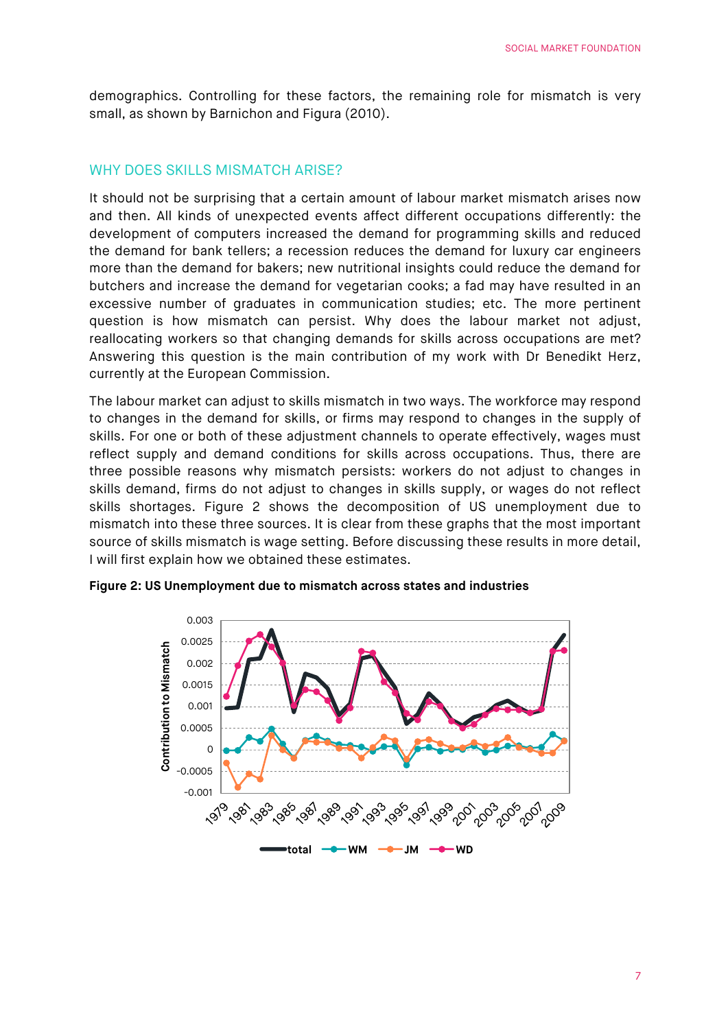demographics. Controlling for these factors, the remaining role for mismatch is very small, as shown by Barnichon and Figura (2010).

## WHY DOES SKILLS MISMATCH ARISE?

It should not be surprising that a certain amount of labour market mismatch arises now and then. All kinds of unexpected events affect different occupations differently: the development of computers increased the demand for programming skills and reduced the demand for bank tellers; a recession reduces the demand for luxury car engineers more than the demand for bakers; new nutritional insights could reduce the demand for butchers and increase the demand for vegetarian cooks; a fad may have resulted in an excessive number of graduates in communication studies; etc. The more pertinent question is how mismatch can persist. Why does the labour market not adjust, reallocating workers so that changing demands for skills across occupations are met? Answering this question is the main contribution of my work with Dr Benedikt Herz, currently at the European Commission.

The labour market can adjust to skills mismatch in two ways. The workforce may respond to changes in the demand for skills, or firms may respond to changes in the supply of skills. For one or both of these adjustment channels to operate effectively, wages must reflect supply and demand conditions for skills across occupations. Thus, there are three possible reasons why mismatch persists: workers do not adjust to changes in skills demand, firms do not adjust to changes in skills supply, or wages do not reflect skills shortages. Figure 2 shows the decomposition of US unemployment due to mismatch into these three sources. It is clear from these graphs that the most important source of skills mismatch is wage setting. Before discussing these results in more detail, I will first explain how we obtained these estimates.



**Figure 2: US Unemployment due to mismatch across states and industries**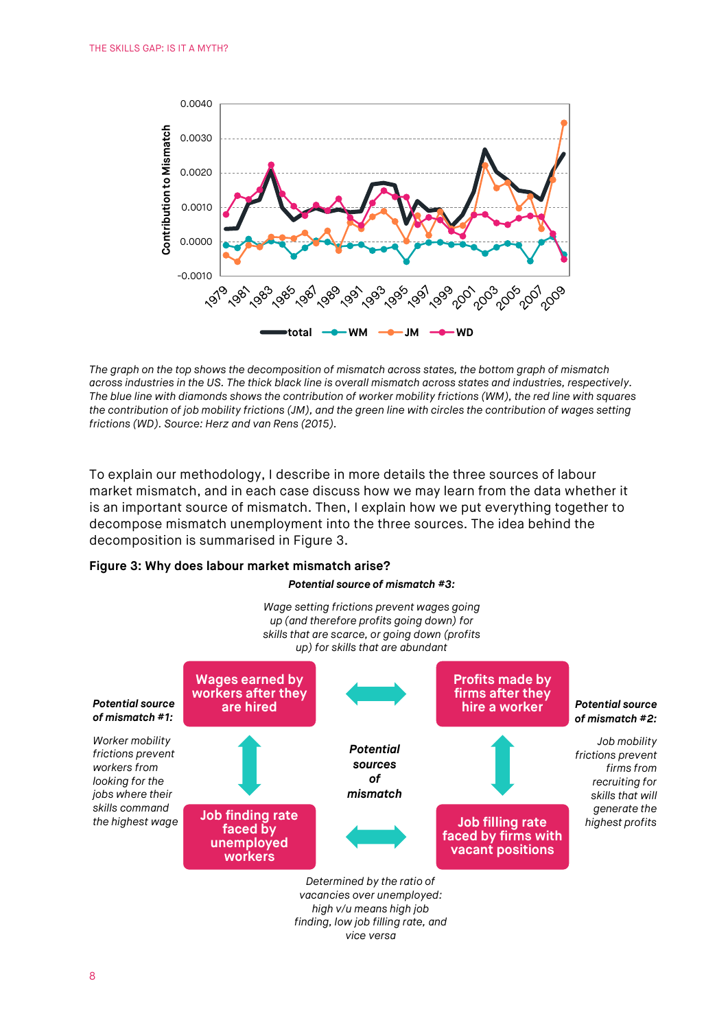

*The graph on the top shows the decomposition of mismatch across states, the bottom graph of mismatch across industries in the US. The thick black line is overall mismatch across states and industries, respectively. The blue line with diamonds shows the contribution of worker mobility frictions (WM), the red line with squares the contribution of job mobility frictions (JM), and the green line with circles the contribution of wages setting frictions (WD). Source: Herz and van Rens (2015).*

To explain our methodology, I describe in more details the three sources of labour market mismatch, and in each case discuss how we may learn from the data whether it is an important source of mismatch. Then, I explain how we put everything together to decompose mismatch unemployment into the three sources. The idea behind the decomposition is summarised in Figure 3.

#### **Figure 3: Why does labour market mismatch arise?**

#### *Potential source of mismatch #3:*



*vacancies over unemployed: high v/u means high job finding, low job filling rate, and vice versa*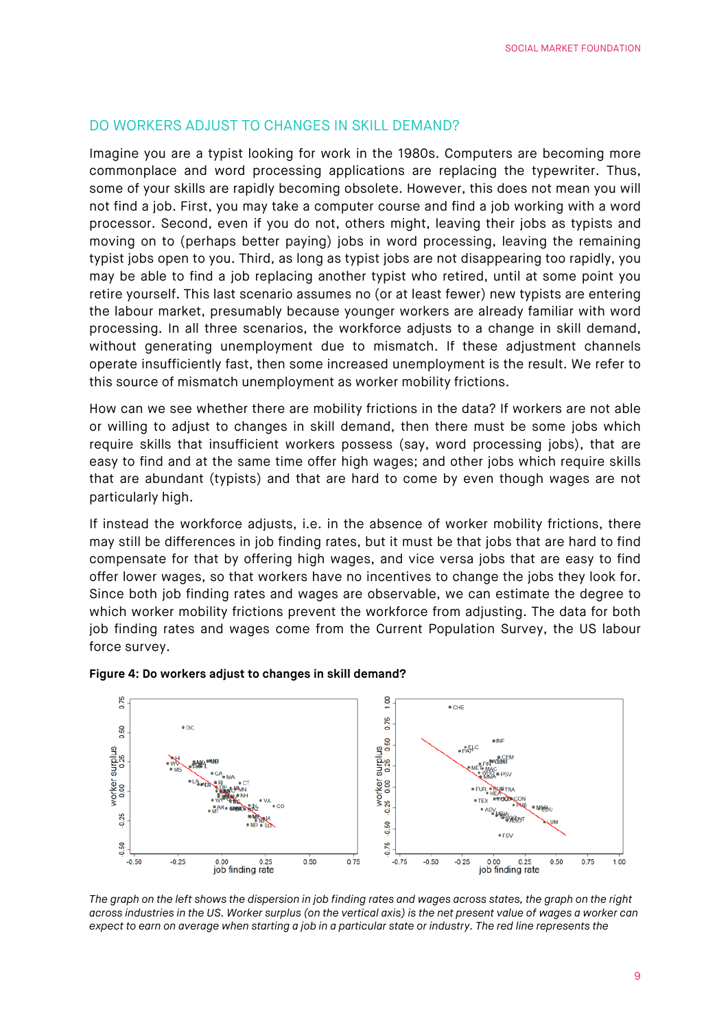## DO WORKERS ADJUST TO CHANGES IN SKILL DEMAND?

Imagine you are a typist looking for work in the 1980s. Computers are becoming more commonplace and word processing applications are replacing the typewriter. Thus, some of your skills are rapidly becoming obsolete. However, this does not mean you will not find a job. First, you may take a computer course and find a job working with a word processor. Second, even if you do not, others might, leaving their jobs as typists and moving on to (perhaps better paying) jobs in word processing, leaving the remaining typist jobs open to you. Third, as long as typist jobs are not disappearing too rapidly, you may be able to find a job replacing another typist who retired, until at some point you retire yourself. This last scenario assumes no (or at least fewer) new typists are entering the labour market, presumably because younger workers are already familiar with word processing. In all three scenarios, the workforce adjusts to a change in skill demand, without generating unemployment due to mismatch. If these adjustment channels operate insufficiently fast, then some increased unemployment is the result. We refer to this source of mismatch unemployment as worker mobility frictions.

How can we see whether there are mobility frictions in the data? If workers are not able or willing to adjust to changes in skill demand, then there must be some jobs which require skills that insufficient workers possess (say, word processing jobs), that are easy to find and at the same time offer high wages; and other jobs which require skills that are abundant (typists) and that are hard to come by even though wages are not particularly high.

If instead the workforce adjusts, i.e. in the absence of worker mobility frictions, there may still be differences in job finding rates, but it must be that jobs that are hard to find compensate for that by offering high wages, and vice versa jobs that are easy to find offer lower wages, so that workers have no incentives to change the jobs they look for. Since both job finding rates and wages are observable, we can estimate the degree to which worker mobility frictions prevent the workforce from adjusting. The data for both job finding rates and wages come from the Current Population Survey, the US labour force survey.



#### **Figure 4: Do workers adjust to changes in skill demand?**

*The graph on the left shows the dispersion in job finding rates and wages across states, the graph on the right across industries in the US. Worker surplus (on the vertical axis) is the net present value of wages a worker can expect to earn on average when starting a job in a particular state or industry. The red line represents the*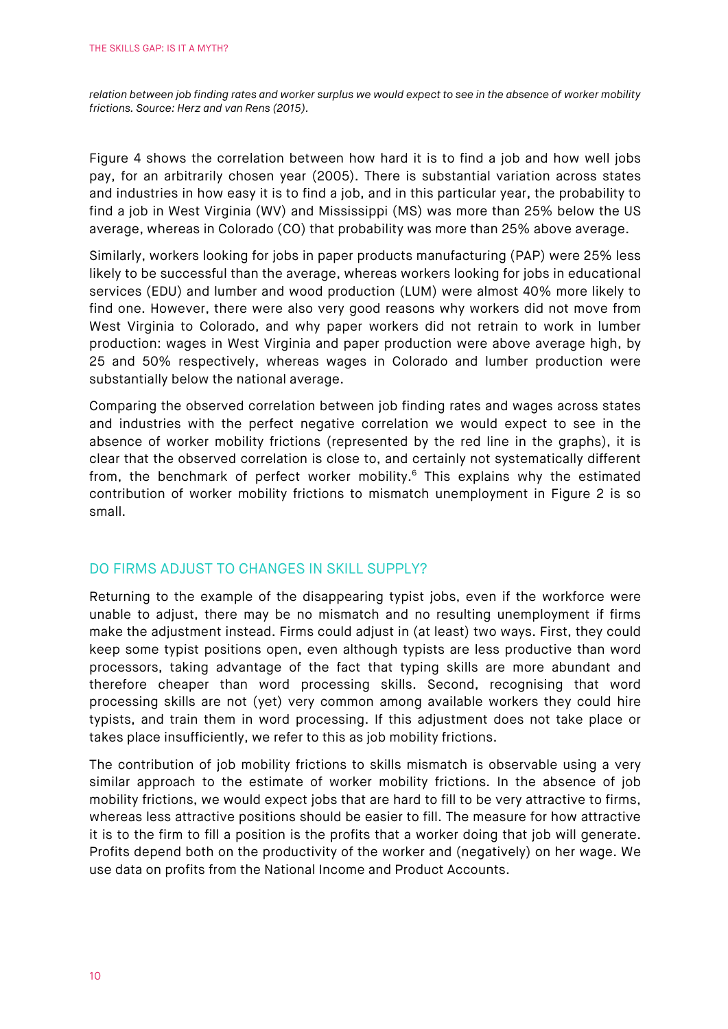*relation between job finding rates and worker surplus we would expect to see in the absence of worker mobility frictions. Source: Herz and van Rens (2015).*

Figure 4 shows the correlation between how hard it is to find a job and how well jobs pay, for an arbitrarily chosen year (2005). There is substantial variation across states and industries in how easy it is to find a job, and in this particular year, the probability to find a job in West Virginia (WV) and Mississippi (MS) was more than 25% below the US average, whereas in Colorado (CO) that probability was more than 25% above average.

Similarly, workers looking for jobs in paper products manufacturing (PAP) were 25% less likely to be successful than the average, whereas workers looking for jobs in educational services (EDU) and lumber and wood production (LUM) were almost 40% more likely to find one. However, there were also very good reasons why workers did not move from West Virginia to Colorado, and why paper workers did not retrain to work in lumber production: wages in West Virginia and paper production were above average high, by 25 and 50% respectively, whereas wages in Colorado and lumber production were substantially below the national average.

Comparing the observed correlation between job finding rates and wages across states and industries with the perfect negative correlation we would expect to see in the absence of worker mobility frictions (represented by the red line in the graphs), it is clear that the observed correlation is close to, and certainly not systematically different from, the benchmark of perfect worker mobility. $6$  This explains why the estimated contribution of worker mobility frictions to mismatch unemployment in Figure 2 is so small.

## DO FIRMS ADJUST TO CHANGES IN SKILL SUPPLY?

Returning to the example of the disappearing typist jobs, even if the workforce were unable to adjust, there may be no mismatch and no resulting unemployment if firms make the adjustment instead. Firms could adjust in (at least) two ways. First, they could keep some typist positions open, even although typists are less productive than word processors, taking advantage of the fact that typing skills are more abundant and therefore cheaper than word processing skills. Second, recognising that word processing skills are not (yet) very common among available workers they could hire typists, and train them in word processing. If this adjustment does not take place or takes place insufficiently, we refer to this as job mobility frictions.

The contribution of job mobility frictions to skills mismatch is observable using a very similar approach to the estimate of worker mobility frictions. In the absence of job mobility frictions, we would expect jobs that are hard to fill to be very attractive to firms, whereas less attractive positions should be easier to fill. The measure for how attractive it is to the firm to fill a position is the profits that a worker doing that job will generate. Profits depend both on the productivity of the worker and (negatively) on her wage. We use data on profits from the National Income and Product Accounts.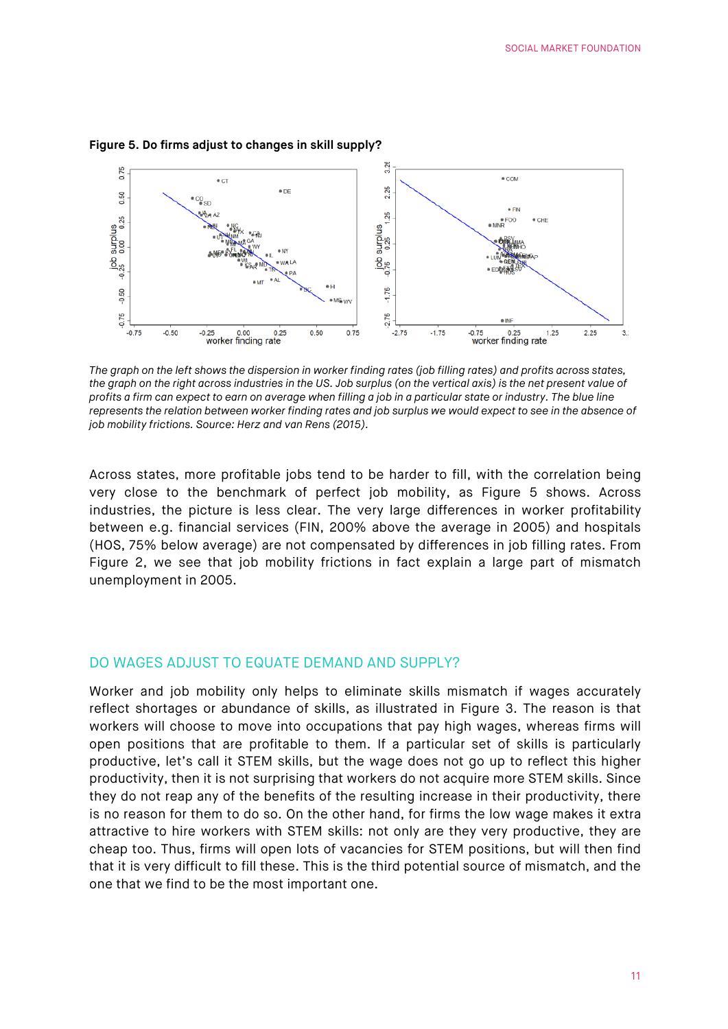

#### **Figure 5. Do firms adjust to changes in skill supply?**

*The graph on the left shows the dispersion in worker finding rates (job filling rates) and profits across states, the graph on the right across industries in the US. Job surplus (on the vertical axis) is the net present value of profits a firm can expect to earn on average when filling a job in a particular state or industry. The blue line represents the relation between worker finding rates and job surplus we would expect to see in the absence of job mobility frictions. Source: Herz and van Rens (2015).*

Across states, more profitable jobs tend to be harder to fill, with the correlation being very close to the benchmark of perfect job mobility, as Figure 5 shows. Across industries, the picture is less clear. The very large differences in worker profitability between e.g. financial services (FIN, 200% above the average in 2005) and hospitals (HOS, 75% below average) are not compensated by differences in job filling rates. From Figure 2, we see that job mobility frictions in fact explain a large part of mismatch unemployment in 2005.

#### DO WAGES ADJUST TO EQUATE DEMAND AND SUPPLY?

Worker and job mobility only helps to eliminate skills mismatch if wages accurately reflect shortages or abundance of skills, as illustrated in Figure 3. The reason is that workers will choose to move into occupations that pay high wages, whereas firms will open positions that are profitable to them. If a particular set of skills is particularly productive, let's call it STEM skills, but the wage does not go up to reflect this higher productivity, then it is not surprising that workers do not acquire more STEM skills. Since they do not reap any of the benefits of the resulting increase in their productivity, there is no reason for them to do so. On the other hand, for firms the low wage makes it extra attractive to hire workers with STEM skills: not only are they very productive, they are cheap too. Thus, firms will open lots of vacancies for STEM positions, but will then find that it is very difficult to fill these. This is the third potential source of mismatch, and the one that we find to be the most important one.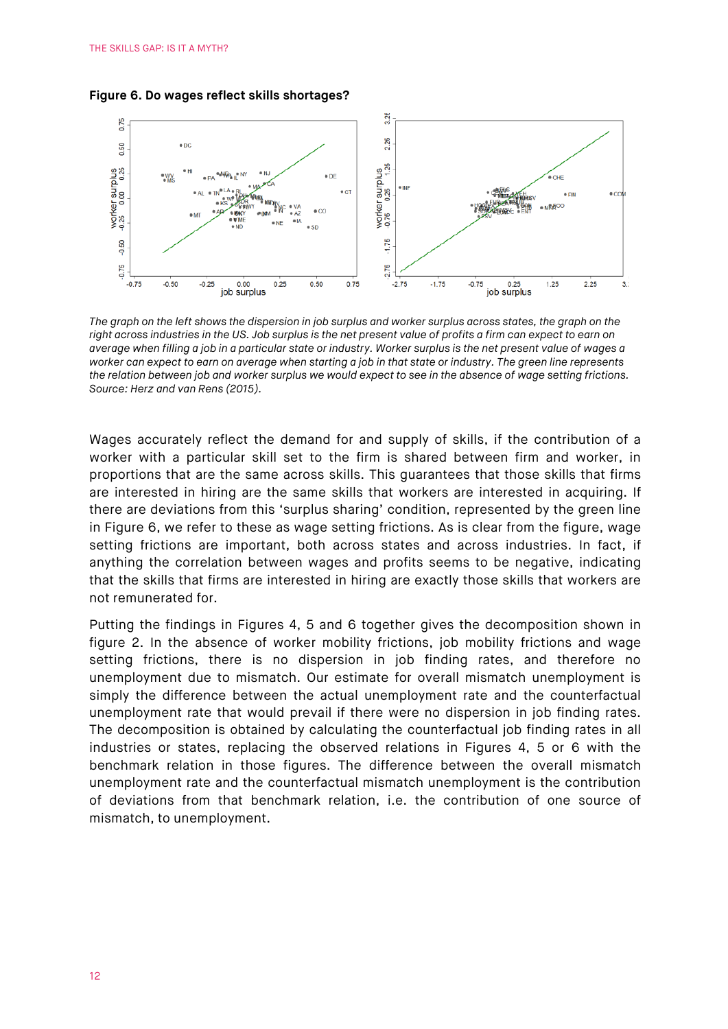



*The graph on the left shows the dispersion in job surplus and worker surplus across states, the graph on the right across industries in the US. Job surplus is the net present value of profits a firm can expect to earn on average when filling a job in a particular state or industry. Worker surplus is the net present value of wages a worker can expect to earn on average when starting a job in that state or industry. The green line represents the relation between job and worker surplus we would expect to see in the absence of wage setting frictions. Source: Herz and van Rens (2015).*

Wages accurately reflect the demand for and supply of skills, if the contribution of a worker with a particular skill set to the firm is shared between firm and worker, in proportions that are the same across skills. This guarantees that those skills that firms are interested in hiring are the same skills that workers are interested in acquiring. If there are deviations from this 'surplus sharing' condition, represented by the green line in Figure 6, we refer to these as wage setting frictions. As is clear from the figure, wage setting frictions are important, both across states and across industries. In fact, if anything the correlation between wages and profits seems to be negative, indicating that the skills that firms are interested in hiring are exactly those skills that workers are not remunerated for.

Putting the findings in Figures 4, 5 and 6 together gives the decomposition shown in figure 2. In the absence of worker mobility frictions, job mobility frictions and wage setting frictions, there is no dispersion in job finding rates, and therefore no unemployment due to mismatch. Our estimate for overall mismatch unemployment is simply the difference between the actual unemployment rate and the counterfactual unemployment rate that would prevail if there were no dispersion in job finding rates. The decomposition is obtained by calculating the counterfactual job finding rates in all industries or states, replacing the observed relations in Figures 4, 5 or 6 with the benchmark relation in those figures. The difference between the overall mismatch unemployment rate and the counterfactual mismatch unemployment is the contribution of deviations from that benchmark relation, i.e. the contribution of one source of mismatch, to unemployment.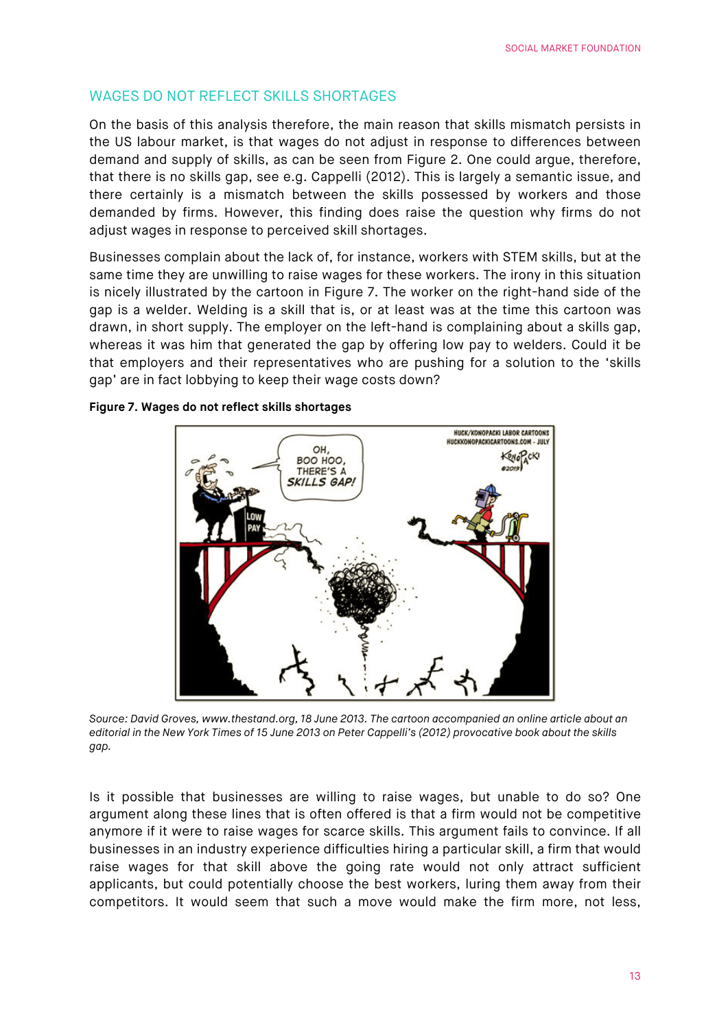## WAGES DO NOT REFLECT SKILLS SHORTAGES

On the basis of this analysis therefore, the main reason that skills mismatch persists in the US labour market, is that wages do not adjust in response to differences between demand and supply of skills, as can be seen from Figure 2. One could argue, therefore, that there is no skills gap, see e.g. Cappelli (2012). This is largely a semantic issue, and there certainly is a mismatch between the skills possessed by workers and those demanded by firms. However, this finding does raise the question why firms do not adjust wages in response to perceived skill shortages.

Businesses complain about the lack of, for instance, workers with STEM skills, but at the same time they are unwilling to raise wages for these workers. The irony in this situation is nicely illustrated by the cartoon in Figure 7. The worker on the right-hand side of the gap is a welder. Welding is a skill that is, or at least was at the time this cartoon was drawn, in short supply. The employer on the left-hand is complaining about a skills gap, whereas it was him that generated the gap by offering low pay to welders. Could it be that employers and their representatives who are pushing for a solution to the 'skills gap' are in fact lobbying to keep their wage costs down?

#### **Figure 7. Wages do not reflect skills shortages**



*Source: David Groves, www.thestand.org, 18 June 2013. The cartoon accompanied an online article about an editorial in the New York Times of 15 June 2013 on Peter Cappelli's (2012) provocative book about the skills gap.*

Is it possible that businesses are willing to raise wages, but unable to do so? One argument along these lines that is often offered is that a firm would not be competitive anymore if it were to raise wages for scarce skills. This argument fails to convince. If all businesses in an industry experience difficulties hiring a particular skill, a firm that would raise wages for that skill above the going rate would not only attract sufficient applicants, but could potentially choose the best workers, luring them away from their competitors. It would seem that such a move would make the firm more, not less,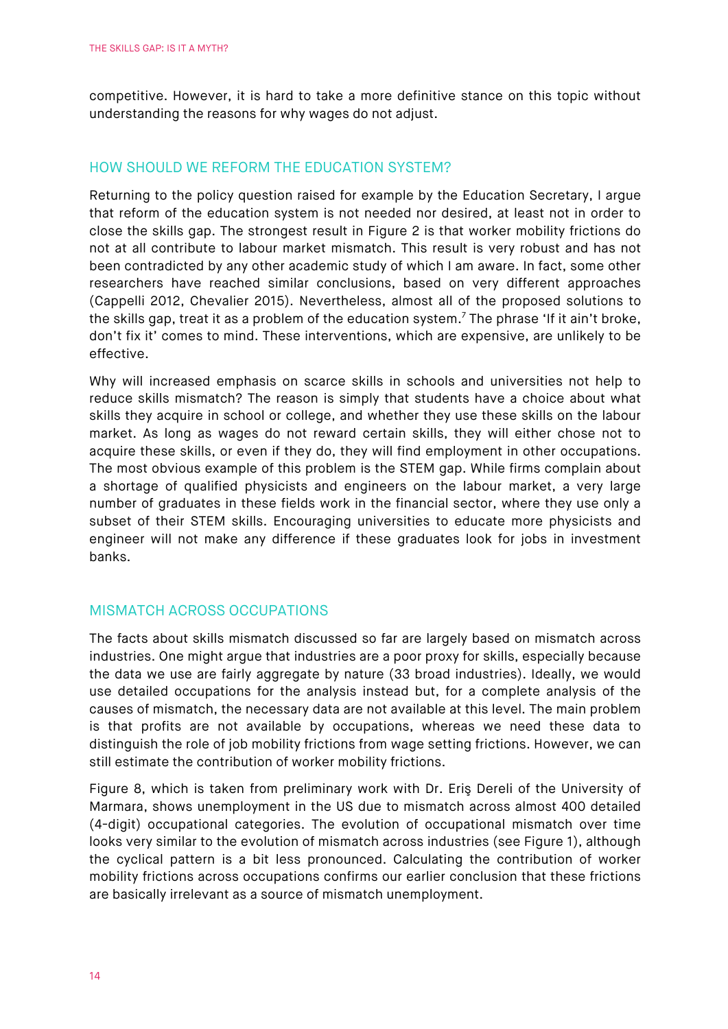competitive. However, it is hard to take a more definitive stance on this topic without understanding the reasons for why wages do not adjust.

## HOW SHOULD WE REFORM THE EDUCATION SYSTEM?

Returning to the policy question raised for example by the Education Secretary, I argue that reform of the education system is not needed nor desired, at least not in order to close the skills gap. The strongest result in Figure 2 is that worker mobility frictions do not at all contribute to labour market mismatch. This result is very robust and has not been contradicted by any other academic study of which I am aware. In fact, some other researchers have reached similar conclusions, based on very different approaches (Cappelli 2012, Chevalier 2015). Nevertheless, almost all of the proposed solutions to the skills gap, treat it as a problem of the education system.<sup>7</sup> The phrase 'If it ain't broke, don't fix it' comes to mind. These interventions, which are expensive, are unlikely to be effective.

Why will increased emphasis on scarce skills in schools and universities not help to reduce skills mismatch? The reason is simply that students have a choice about what skills they acquire in school or college, and whether they use these skills on the labour market. As long as wages do not reward certain skills, they will either chose not to acquire these skills, or even if they do, they will find employment in other occupations. The most obvious example of this problem is the STEM gap. While firms complain about a shortage of qualified physicists and engineers on the labour market, a very large number of graduates in these fields work in the financial sector, where they use only a subset of their STEM skills. Encouraging universities to educate more physicists and engineer will not make any difference if these graduates look for jobs in investment banks.

## MISMATCH ACROSS OCCUPATIONS

The facts about skills mismatch discussed so far are largely based on mismatch across industries. One might argue that industries are a poor proxy for skills, especially because the data we use are fairly aggregate by nature (33 broad industries). Ideally, we would use detailed occupations for the analysis instead but, for a complete analysis of the causes of mismatch, the necessary data are not available at this level. The main problem is that profits are not available by occupations, whereas we need these data to distinguish the role of job mobility frictions from wage setting frictions. However, we can still estimate the contribution of worker mobility frictions.

Figure 8, which is taken from preliminary work with Dr. Eriş Dereli of the University of Marmara, shows unemployment in the US due to mismatch across almost 400 detailed (4-digit) occupational categories. The evolution of occupational mismatch over time looks very similar to the evolution of mismatch across industries (see Figure 1), although the cyclical pattern is a bit less pronounced. Calculating the contribution of worker mobility frictions across occupations confirms our earlier conclusion that these frictions are basically irrelevant as a source of mismatch unemployment.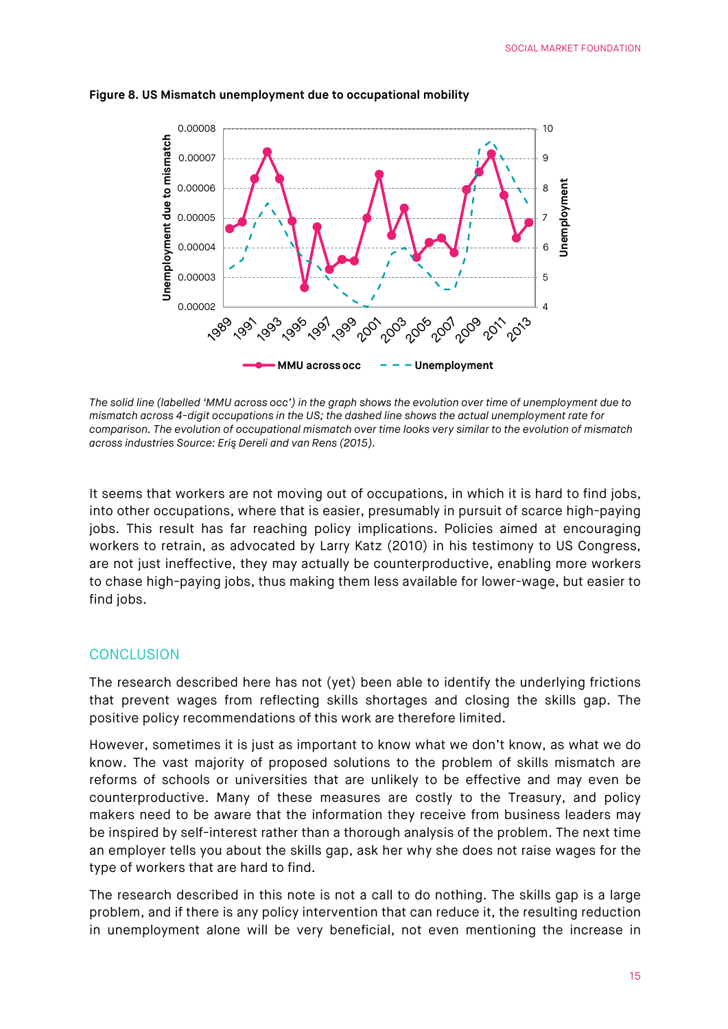

#### **Figure 8. US Mismatch unemployment due to occupational mobility**

*The solid line (labelled 'MMU across occ') in the graph shows the evolution over time of unemployment due to mismatch across 4-digit occupations in the US; the dashed line shows the actual unemployment rate for comparison. The evolution of occupational mismatch over time looks very similar to the evolution of mismatch across industries Source: Eriş Dereli and van Rens (2015).*

It seems that workers are not moving out of occupations, in which it is hard to find jobs, into other occupations, where that is easier, presumably in pursuit of scarce high-paying jobs. This result has far reaching policy implications. Policies aimed at encouraging workers to retrain, as advocated by Larry Katz (2010) in his testimony to US Congress, are not just ineffective, they may actually be counterproductive, enabling more workers to chase high-paying jobs, thus making them less available for lower-wage, but easier to find jobs.

#### **CONCLUSION**

The research described here has not (yet) been able to identify the underlying frictions that prevent wages from reflecting skills shortages and closing the skills gap. The positive policy recommendations of this work are therefore limited.

However, sometimes it is just as important to know what we don't know, as what we do know. The vast majority of proposed solutions to the problem of skills mismatch are reforms of schools or universities that are unlikely to be effective and may even be counterproductive. Many of these measures are costly to the Treasury, and policy makers need to be aware that the information they receive from business leaders may be inspired by self-interest rather than a thorough analysis of the problem. The next time an employer tells you about the skills gap, ask her why she does not raise wages for the type of workers that are hard to find.

The research described in this note is not a call to do nothing. The skills gap is a large problem, and if there is any policy intervention that can reduce it, the resulting reduction in unemployment alone will be very beneficial, not even mentioning the increase in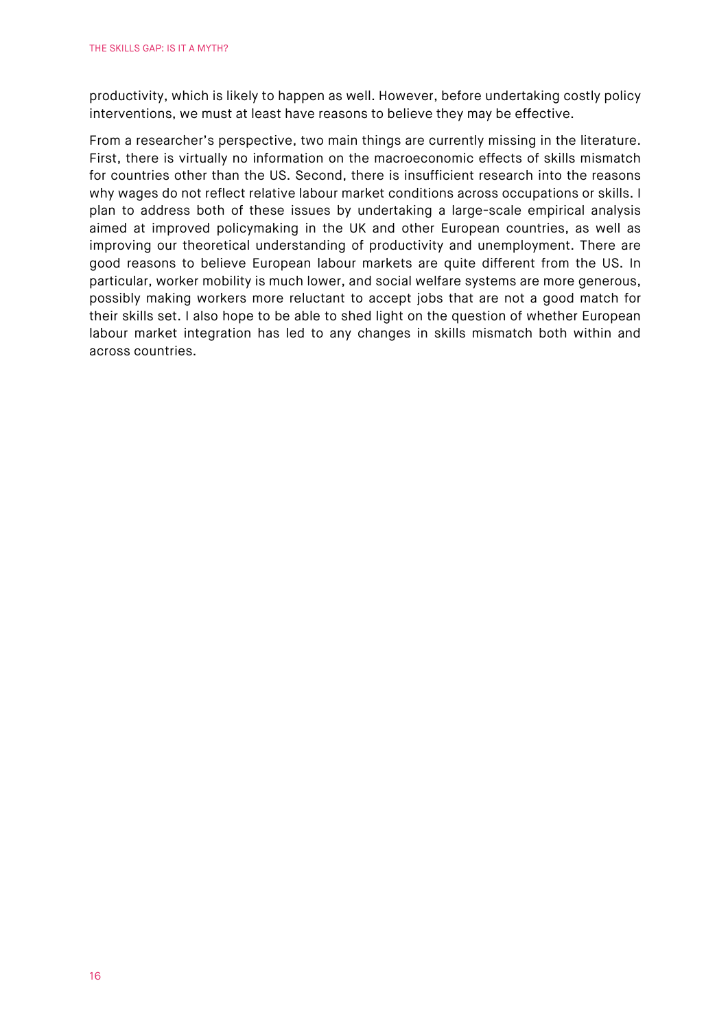productivity, which is likely to happen as well. However, before undertaking costly policy interventions, we must at least have reasons to believe they may be effective.

From a researcher's perspective, two main things are currently missing in the literature. First, there is virtually no information on the macroeconomic effects of skills mismatch for countries other than the US. Second, there is insufficient research into the reasons why wages do not reflect relative labour market conditions across occupations or skills. I plan to address both of these issues by undertaking a large-scale empirical analysis aimed at improved policymaking in the UK and other European countries, as well as improving our theoretical understanding of productivity and unemployment. There are good reasons to believe European labour markets are quite different from the US. In particular, worker mobility is much lower, and social welfare systems are more generous, possibly making workers more reluctant to accept jobs that are not a good match for their skills set. I also hope to be able to shed light on the question of whether European labour market integration has led to any changes in skills mismatch both within and across countries.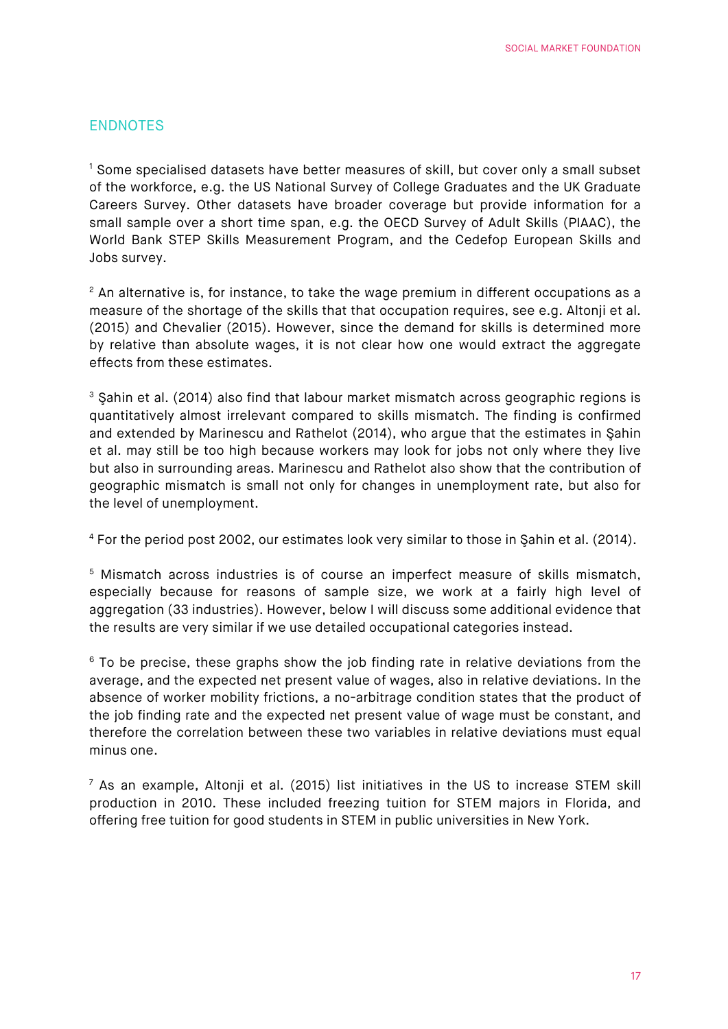## ENDNOTES

<sup>1</sup> Some specialised datasets have better measures of skill, but cover only a small subset of the workforce, e.g. the US National Survey of College Graduates and the UK Graduate Careers Survey. Other datasets have broader coverage but provide information for a small sample over a short time span, e.g. the OECD Survey of Adult Skills (PIAAC), the World Bank STEP Skills Measurement Program, and the Cedefop European Skills and Jobs survey.

 $2$  An alternative is, for instance, to take the wage premium in different occupations as a measure of the shortage of the skills that that occupation requires, see e.g. Altonji et al. (2015) and Chevalier (2015). However, since the demand for skills is determined more by relative than absolute wages, it is not clear how one would extract the aggregate effects from these estimates.

<sup>3</sup> Sahin et al. (2014) also find that labour market mismatch across geographic regions is quantitatively almost irrelevant compared to skills mismatch. The finding is confirmed and extended by Marinescu and Rathelot (2014), who argue that the estimates in Şahin et al. may still be too high because workers may look for jobs not only where they live but also in surrounding areas. Marinescu and Rathelot also show that the contribution of geographic mismatch is small not only for changes in unemployment rate, but also for the level of unemployment.

<sup>4</sup> For the period post 2002, our estimates look very similar to those in Şahin et al. (2014).

<sup>5</sup> Mismatch across industries is of course an imperfect measure of skills mismatch, especially because for reasons of sample size, we work at a fairly high level of aggregation (33 industries). However, below I will discuss some additional evidence that the results are very similar if we use detailed occupational categories instead.

 $6$  To be precise, these graphs show the job finding rate in relative deviations from the average, and the expected net present value of wages, also in relative deviations. In the absence of worker mobility frictions, a no-arbitrage condition states that the product of the job finding rate and the expected net present value of wage must be constant, and therefore the correlation between these two variables in relative deviations must equal minus one.

 $<sup>7</sup>$  As an example, Altonii et al. (2015) list initiatives in the US to increase STEM skill</sup> production in 2010. These included freezing tuition for STEM majors in Florida, and offering free tuition for good students in STEM in public universities in New York.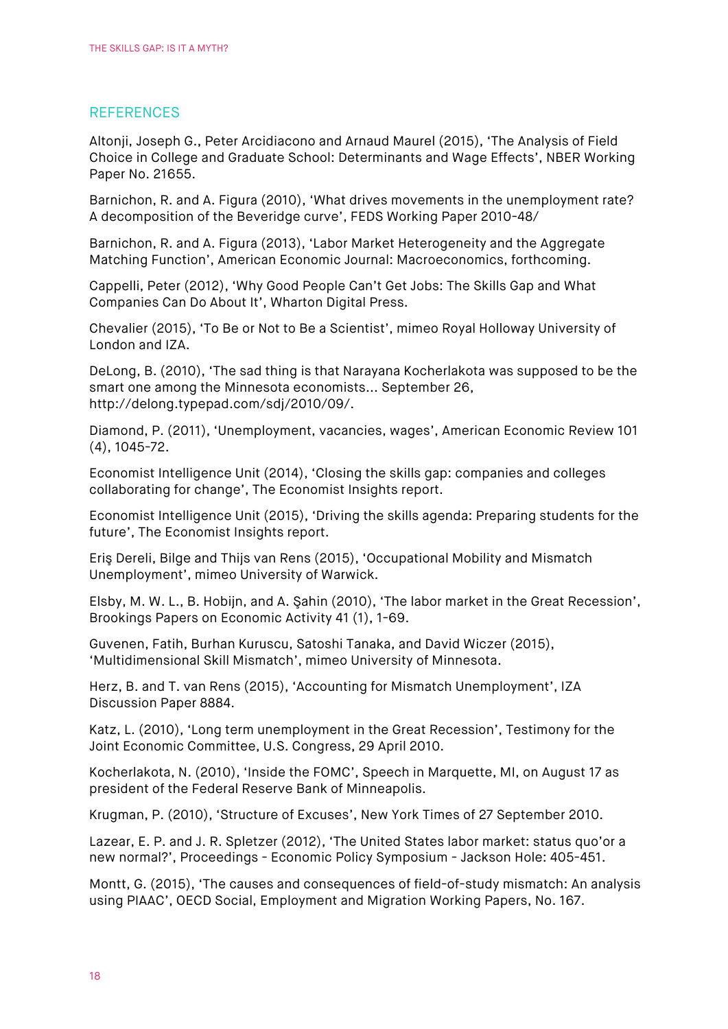#### **REFERENCES**

Altonji, Joseph G., Peter Arcidiacono and Arnaud Maurel (2015), 'The Analysis of Field Choice in College and Graduate School: Determinants and Wage Effects', NBER Working Paper No. 21655.

Barnichon, R. and A. Figura (2010), 'What drives movements in the unemployment rate? A decomposition of the Beveridge curve', FEDS Working Paper 2010-48/

Barnichon, R. and A. Figura (2013), 'Labor Market Heterogeneity and the Aggregate Matching Function', American Economic Journal: Macroeconomics, forthcoming.

Cappelli, Peter (2012), 'Why Good People Can't Get Jobs: The Skills Gap and What Companies Can Do About It', Wharton Digital Press.

Chevalier (2015), 'To Be or Not to Be a Scientist', mimeo Royal Holloway University of London and IZA.

DeLong, B. (2010), 'The sad thing is that Narayana Kocherlakota was supposed to be the smart one among the Minnesota economists... September 26, http://delong.typepad.com/sdj/2010/09/.

Diamond, P. (2011), 'Unemployment, vacancies, wages', American Economic Review 101 (4), 1045-72.

Economist Intelligence Unit (2014), 'Closing the skills gap: companies and colleges collaborating for change', The Economist Insights report.

Economist Intelligence Unit (2015), 'Driving the skills agenda: Preparing students for the future', The Economist Insights report.

Eriş Dereli, Bilge and Thijs van Rens (2015), 'Occupational Mobility and Mismatch Unemployment', mimeo University of Warwick.

Elsby, M. W. L., B. Hobijn, and A. Şahin (2010), 'The labor market in the Great Recession', Brookings Papers on Economic Activity 41 (1), 1-69.

Guvenen, Fatih, Burhan Kuruscu, Satoshi Tanaka, and David Wiczer (2015), 'Multidimensional Skill Mismatch', mimeo University of Minnesota.

Herz, B. and T. van Rens (2015), 'Accounting for Mismatch Unemployment', IZA Discussion Paper 8884.

Katz, L. (2010), 'Long term unemployment in the Great Recession', Testimony for the Joint Economic Committee, U.S. Congress, 29 April 2010.

Kocherlakota, N. (2010), 'Inside the FOMC', Speech in Marquette, MI, on August 17 as president of the Federal Reserve Bank of Minneapolis.

Krugman, P. (2010), 'Structure of Excuses', New York Times of 27 September 2010.

Lazear, E. P. and J. R. Spletzer (2012), 'The United States labor market: status quo'or a new normal?', Proceedings - Economic Policy Symposium - Jackson Hole: 405-451.

Montt, G. (2015), 'The causes and consequences of field-of-study mismatch: An analysis using PIAAC', OECD Social, Employment and Migration Working Papers, No. 167.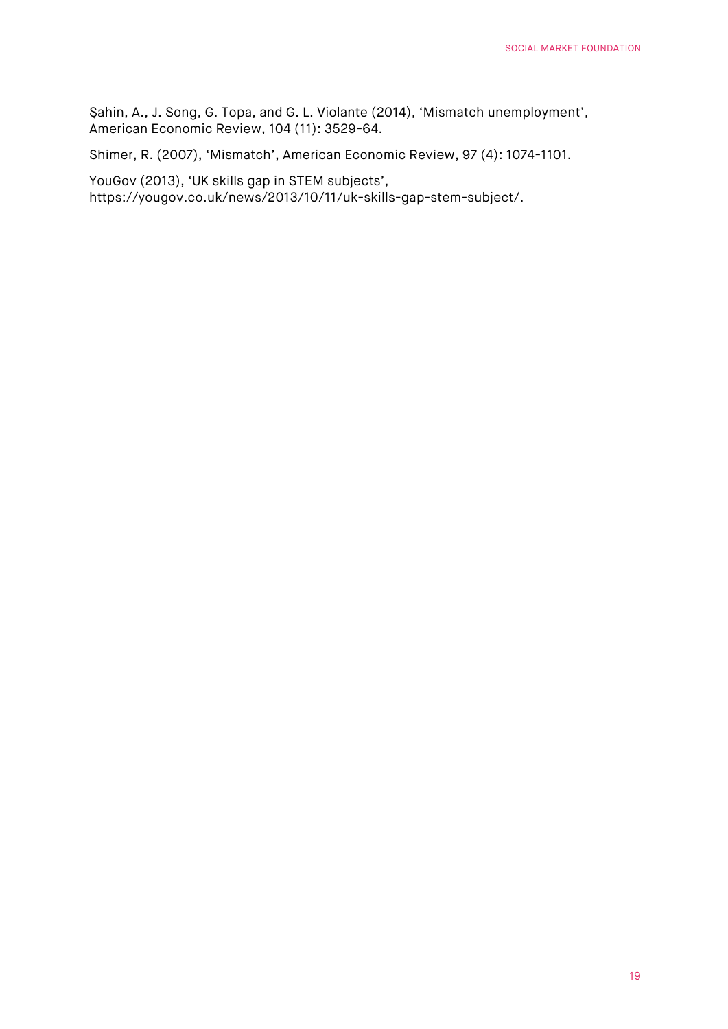Şahin, A., J. Song, G. Topa, and G. L. Violante (2014), 'Mismatch unemployment', American Economic Review, 104 (11): 3529-64.

Shimer, R. (2007), 'Mismatch', American Economic Review, 97 (4): 1074-1101.

YouGov (2013), 'UK skills gap in STEM subjects', https://yougov.co.uk/news/2013/10/11/uk-skills-gap-stem-subject/.